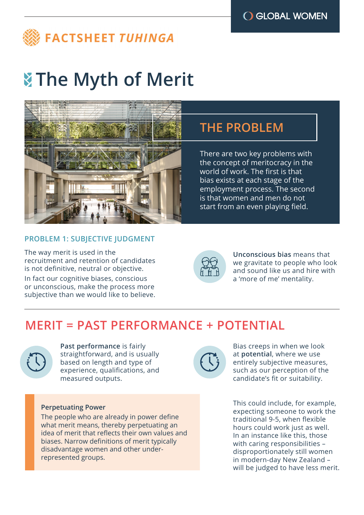

# **The Myth of Merit**



# **THE PROBLEM**

There are two key problems with the concept of meritocracy in the world of work. The first is that bias exists at each stage of the employment process. The second is that women and men do not start from an even playing field.

### **PROBLEM 1: SUBJECTIVE JUDGMENT**

The way merit is used in the recruitment and retention of candidates is not definitive, neutral or objective.

In fact our cognitive biases, conscious or unconscious, make the process more subjective than we would like to believe.



**Unconscious bias** means that we gravitate to people who look and sound like us and hire with a 'more of me' mentality.

# **MERIT = PAST PERFORMANCE + POTENTIAL**



**Past performance** is fairly straightforward, and is usually based on length and type of experience, qualifications, and measured outputs.

#### **Perpetuating Power**

The people who are already in power define what merit means, thereby perpetuating an idea of merit that reflects their own values and biases. Narrow definitions of merit typically disadvantage women and other underrepresented groups.



Bias creeps in when we look at **potential**, where we use entirely subjective measures, such as our perception of the candidate's fit or suitability.

This could include, for example, expecting someone to work the traditional 9-5, when flexible hours could work just as well. In an instance like this, those with caring responsibilities – disproportionately still women in modern-day New Zealand – will be judged to have less merit.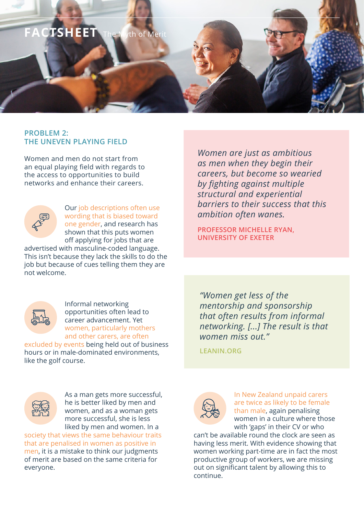

### **PROBLEM 2: THE UNEVEN PLAYING FIELD**

Women and men do not start from an equal playing field with regards to the access to opportunities to build networks and enhance their careers.



Our job descriptions often use wording that is biased toward one gender, and research has shown that this puts women off applying for jobs that are

advertised with masculine-coded language. This isn't because they lack the skills to do the job but because of cues telling them they are not welcome.



everyone.

Informal networking opportunities often lead to career advancement. Yet women, particularly mothers and other carers, are often

As a man gets more successful, he is better liked by men and women, and as a woman gets more successful, she is less liked by men and women. In a

excluded by events being held out of business hours or in male-dominated environments, like the golf course.

society that views the same behaviour traits that are penalised in women as positive in men, it is a mistake to think our judgments of merit are based on the same criteria for

*Women are just as ambitious as men when they begin their careers, but become so wearied by fighting against multiple structural and experiential barriers to their success that this ambition often wanes.*

**PROFESSOR MICHELLE RYAN, UNIVERSITY OF EXETER**

*"Women get less of the mentorship and sponsorship that often results from informal networking. [...] The result is that women miss out."*

**LEANIN.ORG**



In New Zealand unpaid carers are twice as likely to be female than male, again penalising women in a culture where those with 'gaps' in their CV or who

can't be available round the clock are seen as having less merit. With evidence showing that women working part-time are in fact the most productive group of workers, we are missing out on significant talent by allowing this to continue.